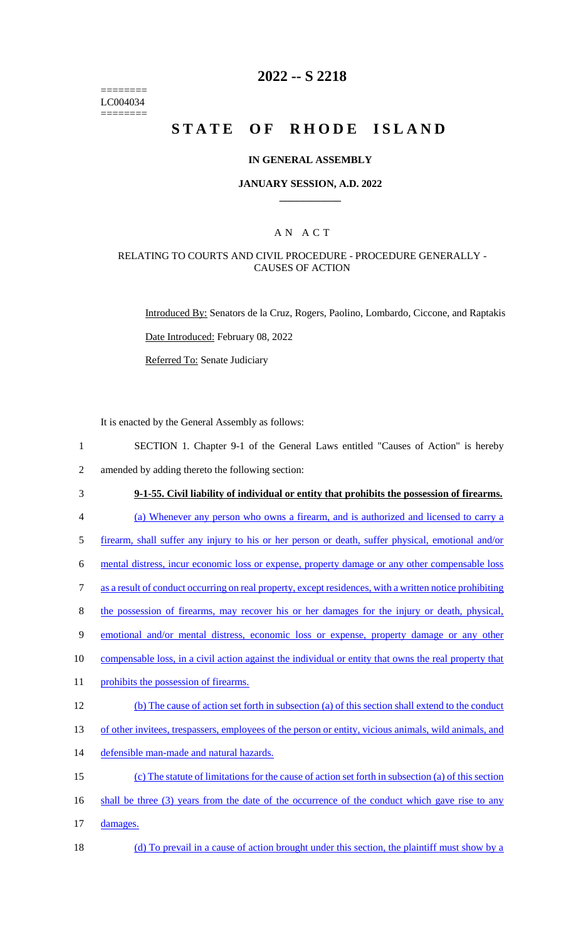======== LC004034 ========

## **2022 -- S 2218**

# **STATE OF RHODE ISLAND**

### **IN GENERAL ASSEMBLY**

### **JANUARY SESSION, A.D. 2022 \_\_\_\_\_\_\_\_\_\_\_\_**

### A N A C T

### RELATING TO COURTS AND CIVIL PROCEDURE - PROCEDURE GENERALLY - CAUSES OF ACTION

Introduced By: Senators de la Cruz, Rogers, Paolino, Lombardo, Ciccone, and Raptakis Date Introduced: February 08, 2022 Referred To: Senate Judiciary

It is enacted by the General Assembly as follows:

- 1 SECTION 1. Chapter 9-1 of the General Laws entitled "Causes of Action" is hereby 2 amended by adding thereto the following section:
- 3 **9-1-55. Civil liability of individual or entity that prohibits the possession of firearms.**
- 4 (a) Whenever any person who owns a firearm, and is authorized and licensed to carry a
- 5 firearm, shall suffer any injury to his or her person or death, suffer physical, emotional and/or
- 6 mental distress, incur economic loss or expense, property damage or any other compensable loss
- 7 as a result of conduct occurring on real property, except residences, with a written notice prohibiting
- 8 the possession of firearms, may recover his or her damages for the injury or death, physical,
- 9 emotional and/or mental distress, economic loss or expense, property damage or any other
- 10 compensable loss, in a civil action against the individual or entity that owns the real property that
- 11 prohibits the possession of firearms.
- 12 (b) The cause of action set forth in subsection (a) of this section shall extend to the conduct
- 13 of other invitees, trespassers, employees of the person or entity, vicious animals, wild animals, and
- 14 defensible man-made and natural hazards.
- 15 (c) The statute of limitations for the cause of action set forth in subsection (a) of this section 16 shall be three (3) years from the date of the occurrence of the conduct which gave rise to any 17 damages.
- 18 (d) To prevail in a cause of action brought under this section, the plaintiff must show by a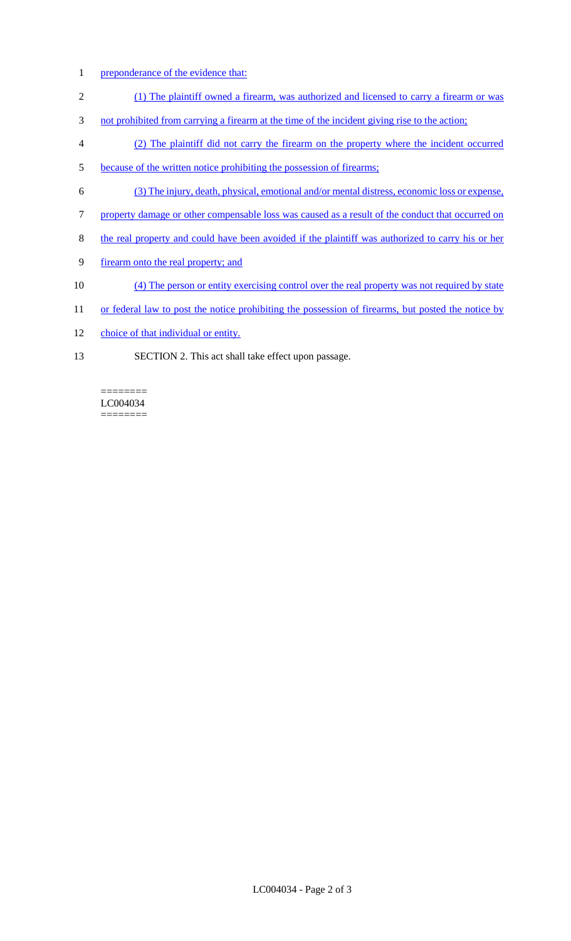- 1 preponderance of the evidence that:
- 2 (1) The plaintiff owned a firearm, was authorized and licensed to carry a firearm or was
- 3 not prohibited from carrying a firearm at the time of the incident giving rise to the action;
- 4 (2) The plaintiff did not carry the firearm on the property where the incident occurred
- 5 because of the written notice prohibiting the possession of firearms;
- 6 (3) The injury, death, physical, emotional and/or mental distress, economic loss or expense,
- 7 property damage or other compensable loss was caused as a result of the conduct that occurred on
- 8 the real property and could have been avoided if the plaintiff was authorized to carry his or her
- 9 firearm onto the real property; and
- 10 (4) The person or entity exercising control over the real property was not required by state
- 11 or federal law to post the notice prohibiting the possession of firearms, but posted the notice by
- 12 choice of that individual or entity.
- 13 SECTION 2. This act shall take effect upon passage.

LC004034 ========

========